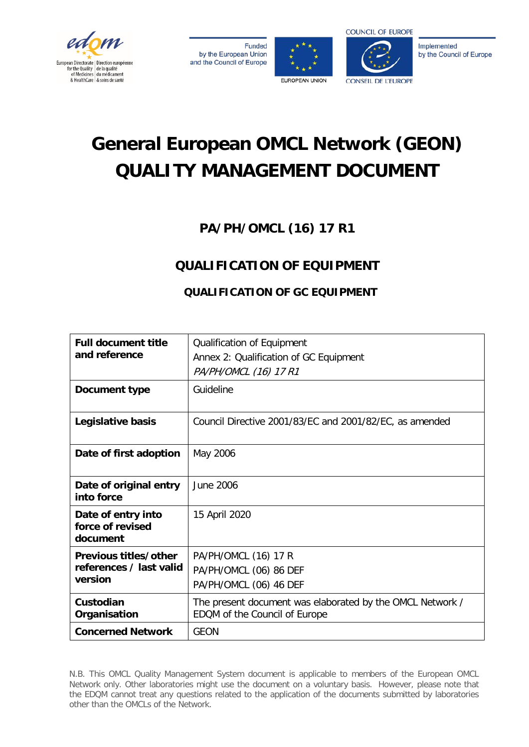

**Funded** by the European Union and the Council of Europe





Implemented by the Council of Europe

# **General European OMCL Network (GEON) QUALITY MANAGEMENT DOCUMENT**

# **PA/PH/OMCL (16) 17 R1**

# **QUALIFICATION OF EQUIPMENT**

# **QUALIFICATION OF GC EQUIPMENT**

| <b>Full document title</b><br>and reference                 | Qualification of Equipment<br>Annex 2: Qualification of GC Equipment<br>PA/PH/OMCL (16) 17 R1 |  |  |
|-------------------------------------------------------------|-----------------------------------------------------------------------------------------------|--|--|
| Document type                                               | Guideline                                                                                     |  |  |
| Legislative basis                                           | Council Directive 2001/83/EC and 2001/82/EC, as amended                                       |  |  |
| Date of first adoption                                      | May 2006                                                                                      |  |  |
| Date of original entry<br>into force                        | June 2006                                                                                     |  |  |
| Date of entry into<br>force of revised<br>document          | 15 April 2020                                                                                 |  |  |
| Previous titles/other<br>references / last valid<br>version | PA/PH/OMCL (16) 17 R<br>PA/PH/OMCL (06) 86 DEF<br>PA/PH/OMCL (06) 46 DEF                      |  |  |
| Custodian<br>Organisation                                   | The present document was elaborated by the OMCL Network /<br>EDQM of the Council of Europe    |  |  |
| <b>Concerned Network</b>                                    | <b>GEON</b>                                                                                   |  |  |

N.B. This OMCL Quality Management System document is applicable to members of the European OMCL Network only. Other laboratories might use the document on a voluntary basis. However, please note that the EDQM cannot treat any questions related to the application of the documents submitted by laboratories other than the OMCLs of the Network.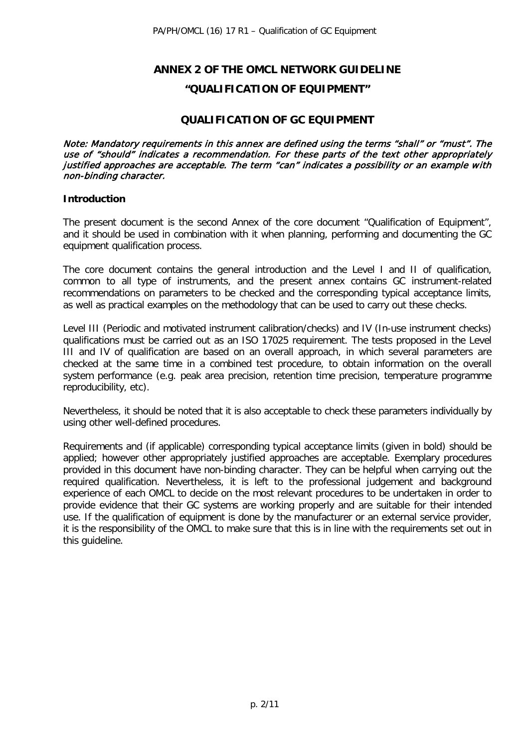# **ANNEX 2 OF THE OMCL NETWORK GUIDELINE "QUALIFICATION OF EQUIPMENT"**

# **QUALIFICATION OF GC EQUIPMENT**

Note: Mandatory requirements in this annex are defined using the terms "shall" or "must". The use of "should" indicates a recommendation. For these parts of the text other appropriately justified approaches are acceptable. The term "can" indicates a possibility or an example with non-binding character.

#### **Introduction**

The present document is the second Annex of the core document "Qualification of Equipment", and it should be used in combination with it when planning, performing and documenting the GC equipment qualification process.

The core document contains the general introduction and the Level I and II of qualification, common to all type of instruments, and the present annex contains GC instrument-related recommendations on parameters to be checked and the corresponding typical acceptance limits, as well as practical examples on the methodology that can be used to carry out these checks.

Level III (Periodic and motivated instrument calibration/checks) and IV (In-use instrument checks) qualifications must be carried out as an ISO 17025 requirement. The tests proposed in the Level III and IV of qualification are based on an overall approach, in which several parameters are checked at the same time in a combined test procedure, to obtain information on the overall system performance (e.g. peak area precision, retention time precision, temperature programme reproducibility, etc).

Nevertheless, it should be noted that it is also acceptable to check these parameters individually by using other well-defined procedures.

Requirements and (if applicable) corresponding typical acceptance limits (given in bold) should be applied; however other appropriately justified approaches are acceptable. Exemplary procedures provided in this document have non-binding character. They can be helpful when carrying out the required qualification. Nevertheless, it is left to the professional judgement and background experience of each OMCL to decide on the most relevant procedures to be undertaken in order to provide evidence that their GC systems are working properly and are suitable for their intended use. If the qualification of equipment is done by the manufacturer or an external service provider, it is the responsibility of the OMCL to make sure that this is in line with the requirements set out in this guideline.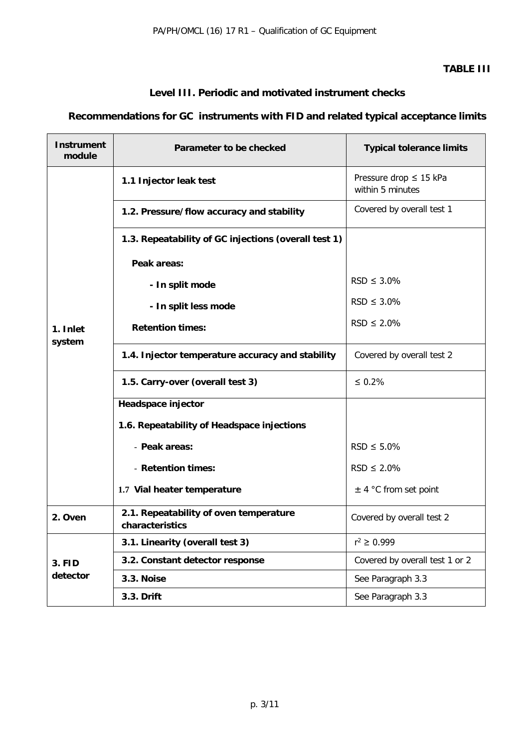# **TABLE III**

# **Level III. Periodic and motivated instrument checks**

# **Recommendations for GC instruments with FID and related typical acceptance limits**

| <b>Instrument</b><br>module | Parameter to be checked                                   | <b>Typical tolerance limits</b>                 |  |
|-----------------------------|-----------------------------------------------------------|-------------------------------------------------|--|
| 1. Inlet<br>system          | 1.1 Injector leak test                                    | Pressure drop $\leq$ 15 kPa<br>within 5 minutes |  |
|                             | 1.2. Pressure/flow accuracy and stability                 | Covered by overall test 1                       |  |
|                             | 1.3. Repeatability of GC injections (overall test 1)      |                                                 |  |
|                             | Peak areas:                                               |                                                 |  |
|                             | - In split mode                                           | $RSD \leq 3.0\%$                                |  |
|                             | - In split less mode                                      | $RSD \leq 3.0\%$                                |  |
|                             | <b>Retention times:</b>                                   | $RSD \leq 2.0\%$                                |  |
|                             | 1.4. Injector temperature accuracy and stability          | Covered by overall test 2                       |  |
|                             | 1.5. Carry-over (overall test 3)                          | $\leq 0.2\%$                                    |  |
|                             | Headspace injector                                        |                                                 |  |
|                             | 1.6. Repeatability of Headspace injections                |                                                 |  |
|                             | - Peak areas:                                             | $RSD \leq 5.0\%$                                |  |
|                             | - Retention times:                                        | $RSD \leq 2.0\%$                                |  |
|                             | 1.7 Vial heater temperature                               | $\pm$ 4 °C from set point                       |  |
| 2. Oven                     | 2.1. Repeatability of oven temperature<br>characteristics | Covered by overall test 2                       |  |
| <b>3. FID</b><br>detector   | 3.1. Linearity (overall test 3)                           | $r^2 \ge 0.999$                                 |  |
|                             | 3.2. Constant detector response                           | Covered by overall test 1 or 2                  |  |
|                             | 3.3. Noise                                                | See Paragraph 3.3                               |  |
|                             | 3.3. Drift                                                | See Paragraph 3.3                               |  |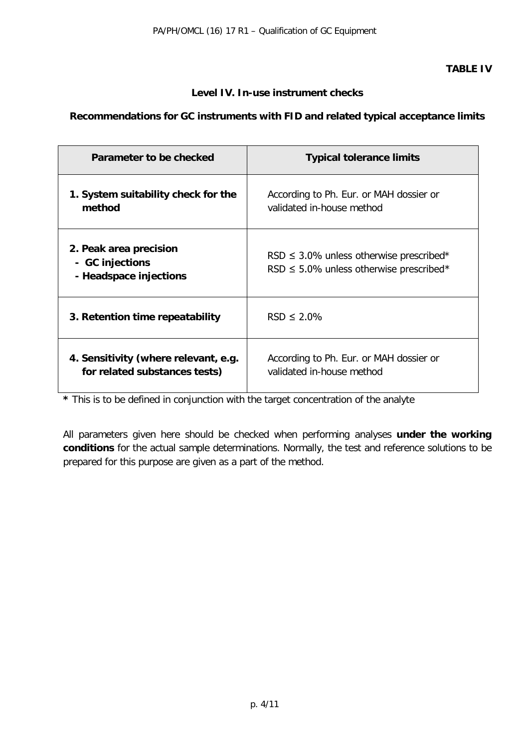# **Level IV. In-use instrument checks**

# **Recommendations for GC instruments with FID and related typical acceptance limits**

| Parameter to be checked                                               | <b>Typical tolerance limits</b>                                                              |  |
|-----------------------------------------------------------------------|----------------------------------------------------------------------------------------------|--|
| 1. System suitability check for the<br>method                         | According to Ph. Eur. or MAH dossier or<br>validated in-house method                         |  |
| 2. Peak area precision<br>- GC injections<br>- Headspace injections   | RSD $\leq$ 3.0% unless otherwise prescribed*<br>RSD $\leq$ 5.0% unless otherwise prescribed* |  |
| 3. Retention time repeatability                                       | $RSD \leq 2.0\%$                                                                             |  |
| 4. Sensitivity (where relevant, e.g.<br>for related substances tests) | According to Ph. Eur. or MAH dossier or<br>validated in-house method                         |  |

**\*** This is to be defined in conjunction with the target concentration of the analyte

All parameters given here should be checked when performing analyses **under the working conditions** for the actual sample determinations. Normally, the test and reference solutions to be prepared for this purpose are given as a part of the method.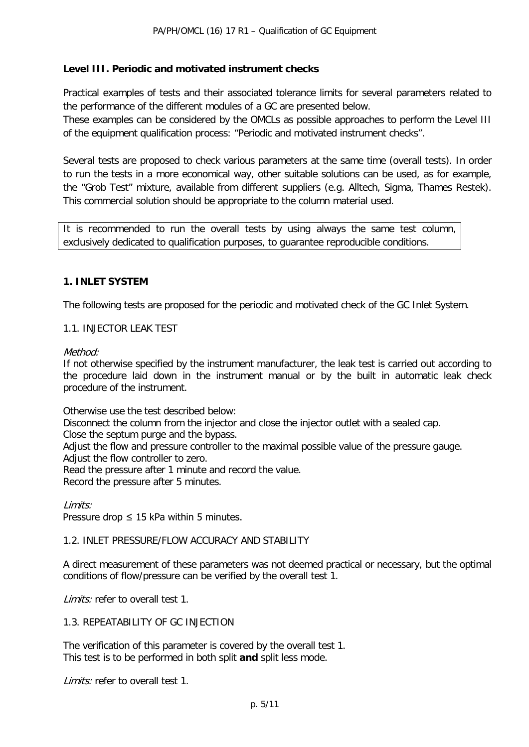# **Level III. Periodic and motivated instrument checks**

Practical examples of tests and their associated tolerance limits for several parameters related to the performance of the different modules of a GC are presented below.

These examples can be considered by the OMCLs as possible approaches to perform the Level III of the equipment qualification process: "Periodic and motivated instrument checks".

Several tests are proposed to check various parameters at the same time (overall tests). In order to run the tests in a more economical way, other suitable solutions can be used, as for example, the "Grob Test" mixture, available from different suppliers (e.g. Alltech, Sigma, Thames Restek). This commercial solution should be appropriate to the column material used.

It is recommended to run the overall tests by using always the same test column, exclusively dedicated to qualification purposes, to guarantee reproducible conditions.

# **1. INLET SYSTEM**

The following tests are proposed for the periodic and motivated check of the GC Inlet System.

#### 1.1. INJECTOR LEAK TEST

#### Method<sup>.</sup>

If not otherwise specified by the instrument manufacturer, the leak test is carried out according to the procedure laid down in the instrument manual or by the built in automatic leak check procedure of the instrument.

Otherwise use the test described below:

Disconnect the column from the injector and close the injector outlet with a sealed cap.

Close the septum purge and the bypass.

Adjust the flow and pressure controller to the maximal possible value of the pressure gauge.

Adjust the flow controller to zero.

Read the pressure after 1 minute and record the value.

Record the pressure after 5 minutes.

Limits: Pressure drop  $\leq$  15 kPa within 5 minutes.

#### 1.2. INLET PRESSURE/FLOW ACCURACY AND STABILITY

A direct measurement of these parameters was not deemed practical or necessary, but the optimal conditions of flow/pressure can be verified by the overall test 1.

Limits: refer to overall test 1.

#### 1.3. REPEATABILITY OF GC INJECTION

The verification of this parameter is covered by the overall test 1. This test is to be performed in both split **and** split less mode.

Limits: refer to overall test 1.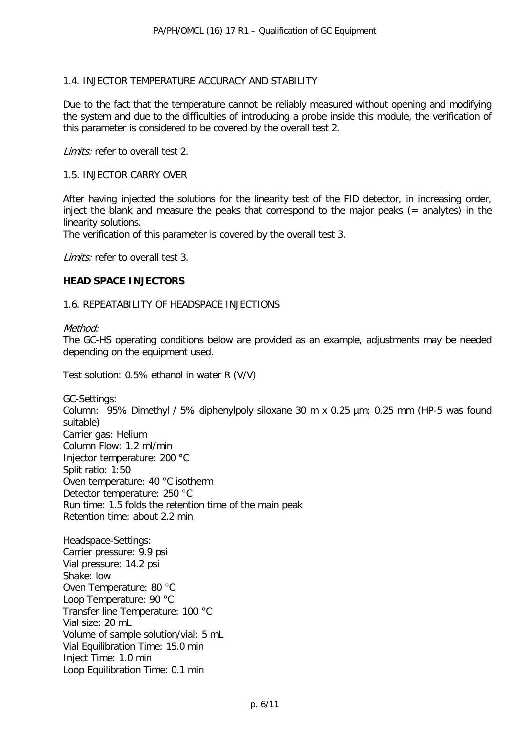### 1.4. INJECTOR TEMPERATURE ACCURACY AND STABILITY

Due to the fact that the temperature cannot be reliably measured without opening and modifying the system and due to the difficulties of introducing a probe inside this module, the verification of this parameter is considered to be covered by the overall test 2.

Limits: refer to overall test 2.

#### 1.5. INJECTOR CARRY OVER

After having injected the solutions for the linearity test of the FID detector, in increasing order, inject the blank and measure the peaks that correspond to the major peaks  $(=$  analytes) in the linearity solutions.

The verification of this parameter is covered by the overall test 3.

Limits: refer to overall test 3.

#### **HEAD SPACE INJECTORS**

#### 1.6. REPEATABILITY OF HEADSPACE INJECTIONS

Method:

The GC-HS operating conditions below are provided as an example, adjustments may be needed depending on the equipment used.

Test solution: 0.5% ethanol in water R (V/V)

GC-Settings: Column: 95% Dimethyl / 5% diphenylpoly siloxane 30 m x 0.25 µm; 0.25 mm (HP-5 was found suitable) Carrier gas: Helium Column Flow: 1.2 ml/min Injector temperature: 200 °C Split ratio: 1:50 Oven temperature: 40 °C isotherm Detector temperature: 250 °C Run time: 1.5 folds the retention time of the main peak Retention time: about 2.2 min

Headspace-Settings: Carrier pressure: 9.9 psi Vial pressure: 14.2 psi Shake: low Oven Temperature: 80 °C Loop Temperature: 90 °C Transfer line Temperature: 100 °C Vial size: 20 mL Volume of sample solution/vial: 5 mL Vial Equilibration Time: 15.0 min Inject Time: 1.0 min Loop Equilibration Time: 0.1 min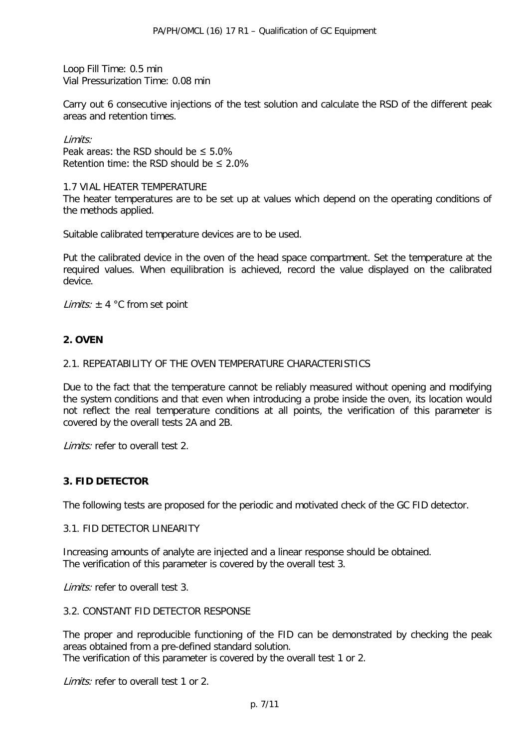Loop Fill Time: 0.5 min Vial Pressurization Time: 0.08 min

Carry out 6 consecutive injections of the test solution and calculate the RSD of the different peak areas and retention times.

#### Limits:

Peak areas: the RSD should be  $\leq 5.0\%$ Retention time: the RSD should be ≤ 2.0%

#### 1.7 VIAL HEATER TEMPERATURE

The heater temperatures are to be set up at values which depend on the operating conditions of the methods applied.

Suitable calibrated temperature devices are to be used.

Put the calibrated device in the oven of the head space compartment. Set the temperature at the required values. When equilibration is achieved, record the value displayed on the calibrated device.

*Limits:*  $\pm$  4 °C from set point

# **2. OVEN**

#### 2.1. REPEATABILITY OF THE OVEN TEMPERATURE CHARACTERISTICS

Due to the fact that the temperature cannot be reliably measured without opening and modifying the system conditions and that even when introducing a probe inside the oven, its location would not reflect the real temperature conditions at all points, the verification of this parameter is covered by the overall tests 2A and 2B.

Limits: refer to overall test 2.

#### **3. FID DETECTOR**

The following tests are proposed for the periodic and motivated check of the GC FID detector.

#### 3.1. FID DETECTOR LINEARITY

Increasing amounts of analyte are injected and a linear response should be obtained. The verification of this parameter is covered by the overall test 3.

Limits: refer to overall test 3.

### 3.2. CONSTANT FID DETECTOR RESPONSE

The proper and reproducible functioning of the FID can be demonstrated by checking the peak areas obtained from a pre-defined standard solution. The verification of this parameter is covered by the overall test 1 or 2.

Limits: refer to overall test 1 or 2.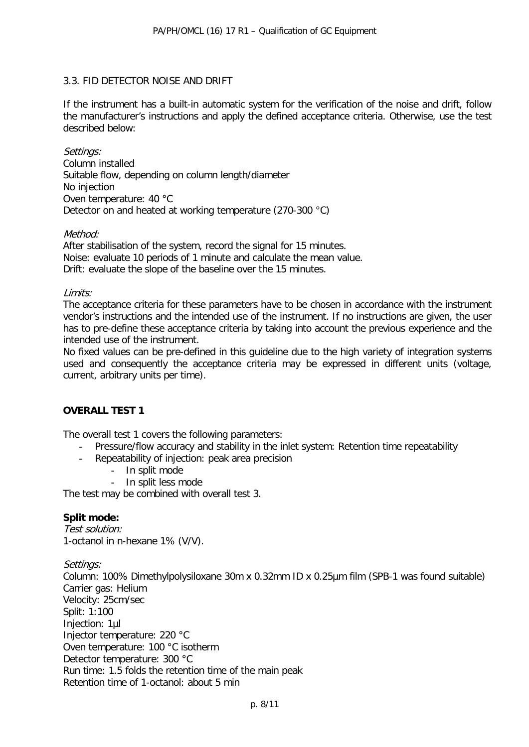# 3.3. FID DETECTOR NOISE AND DRIFT

If the instrument has a built-in automatic system for the verification of the noise and drift, follow the manufacturer's instructions and apply the defined acceptance criteria. Otherwise, use the test described below:

Settings: Column installed

Suitable flow, depending on column length/diameter No injection Oven temperature: 40 °C Detector on and heated at working temperature (270-300 °C)

#### Method:

After stabilisation of the system, record the signal for 15 minutes. Noise: evaluate 10 periods of 1 minute and calculate the mean value. Drift: evaluate the slope of the baseline over the 15 minutes.

#### Limits:

The acceptance criteria for these parameters have to be chosen in accordance with the instrument vendor's instructions and the intended use of the instrument. If no instructions are given, the user has to pre-define these acceptance criteria by taking into account the previous experience and the intended use of the instrument.

No fixed values can be pre-defined in this guideline due to the high variety of integration systems used and consequently the acceptance criteria may be expressed in different units (voltage, current, arbitrary units per time).

#### **OVERALL TEST 1**

The overall test 1 covers the following parameters:

- Pressure/flow accuracy and stability in the inlet system: Retention time repeatability
- Repeatability of injection: peak area precision
	- In split mode<br>- In split less m
	- In split less mode

The test may be combined with overall test 3.

#### **Split mode:**

Test solution: 1-octanol in n-hexane 1% (V/V).

Settings:

Column: 100% Dimethylpolysiloxane 30m x 0.32mm ID x 0.25µm film (SPB-1 was found suitable) Carrier gas: Helium Velocity: 25cm/sec Split: 1:100 Injection: 1µl Injector temperature: 220 °C Oven temperature: 100 °C isotherm Detector temperature: 300 °C Run time: 1.5 folds the retention time of the main peak Retention time of 1-octanol: about 5 min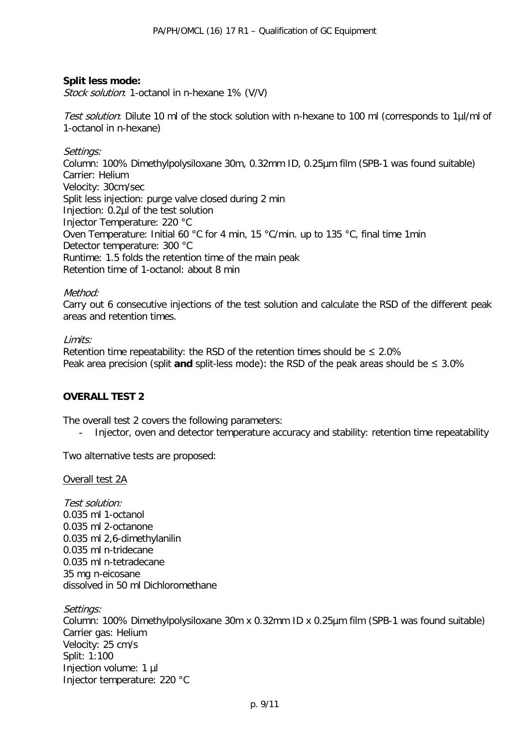# **Split less mode:**

Stock solution: 1-octanol in n-hexane 1% (V/V)

Test solution: Dilute 10 ml of the stock solution with n-hexane to 100 ml (corresponds to 1µl/ml of 1-octanol in n-hexane)

#### Settings:

Column: 100% Dimethylpolysiloxane 30m, 0.32mm ID, 0.25µm film (SPB-1 was found suitable) Carrier: Helium Velocity: 30cm/sec Split less injection: purge valve closed during 2 min Injection: 0.2µl of the test solution Injector Temperature: 220 °C Oven Temperature: Initial 60 °C for 4 min, 15 °C/min. up to 135 °C, final time 1min Detector temperature: 300 °C Runtime: 1.5 folds the retention time of the main peak Retention time of 1-octanol: about 8 min

#### Method:

Carry out 6 consecutive injections of the test solution and calculate the RSD of the different peak areas and retention times.

#### Limits:

Retention time repeatability: the RSD of the retention times should be  $\leq 2.0\%$ Peak area precision (split **and** split-less mode): the RSD of the peak areas should be ≤ 3.0%

# **OVERALL TEST 2**

The overall test 2 covers the following parameters:

- Injector, oven and detector temperature accuracy and stability: retention time repeatability

Two alternative tests are proposed:

Overall test 2A

Test solution: 0.035 ml 1-octanol 0.035 ml 2-octanone 0.035 ml 2,6-dimethylanilin 0.035 ml n-tridecane 0.035 ml n-tetradecane 35 mg n-eicosane dissolved in 50 ml Dichloromethane

Settings: Column: 100% Dimethylpolysiloxane 30m x 0.32mm ID x 0.25µm film (SPB-1 was found suitable) Carrier gas: Helium Velocity: 25 cm/s Split: 1:100 Injection volume: 1 µl Injector temperature: 220 °C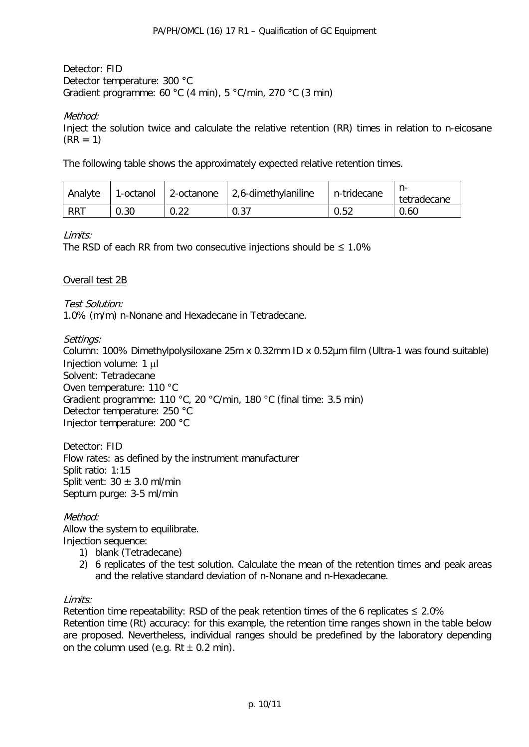Detector: FID Detector temperature: 300 °C Gradient programme: 60 °C (4 min), 5 °C/min, 270 °C (3 min)

# Method:

Inject the solution twice and calculate the relative retention (RR) times in relation to n-eicosane  $(RR = 1)$ 

The following table shows the approximately expected relative retention times.

| Analyte    | 1-octanol | 2-octanone | $2,6$ -dimethylaniline | n-tridecane | tetradecane |
|------------|-----------|------------|------------------------|-------------|-------------|
| <b>RRT</b> | 0.30      | 0.22       | 0.37                   | 0.52        | 0.60        |

Limits:

The RSD of each RR from two consecutive injections should be  $\leq 1.0\%$ 

# Overall test 2B

Test Solution: 1.0% (m/m) n-Nonane and Hexadecane in Tetradecane.

# Settings:

Column: 100% Dimethylpolysiloxane 25m x 0.32mm ID x 0.52µm film (Ultra-1 was found suitable) Injection volume: 1 µl Solvent: Tetradecane Oven temperature: 110 °C Gradient programme: 110 °C, 20 °C/min, 180 °C (final time: 3.5 min) Detector temperature: 250 °C Injector temperature: 200 °C

Detector: FID Flow rates: as defined by the instrument manufacturer Split ratio: 1:15 Split vent:  $30 \pm 3.0$  ml/min Septum purge: 3-5 ml/min

# Method:

Allow the system to equilibrate. Injection sequence:

- 1) blank (Tetradecane)
- 2) 6 replicates of the test solution. Calculate the mean of the retention times and peak areas and the relative standard deviation of n-Nonane and n-Hexadecane.

#### Limits:

Retention time repeatability: RSD of the peak retention times of the 6 replicates  $\leq 2.0\%$ Retention time (Rt) accuracy: for this example, the retention time ranges shown in the table below are proposed. Nevertheless, individual ranges should be predefined by the laboratory depending on the column used (e.g.  $Rt \pm 0.2$  min).